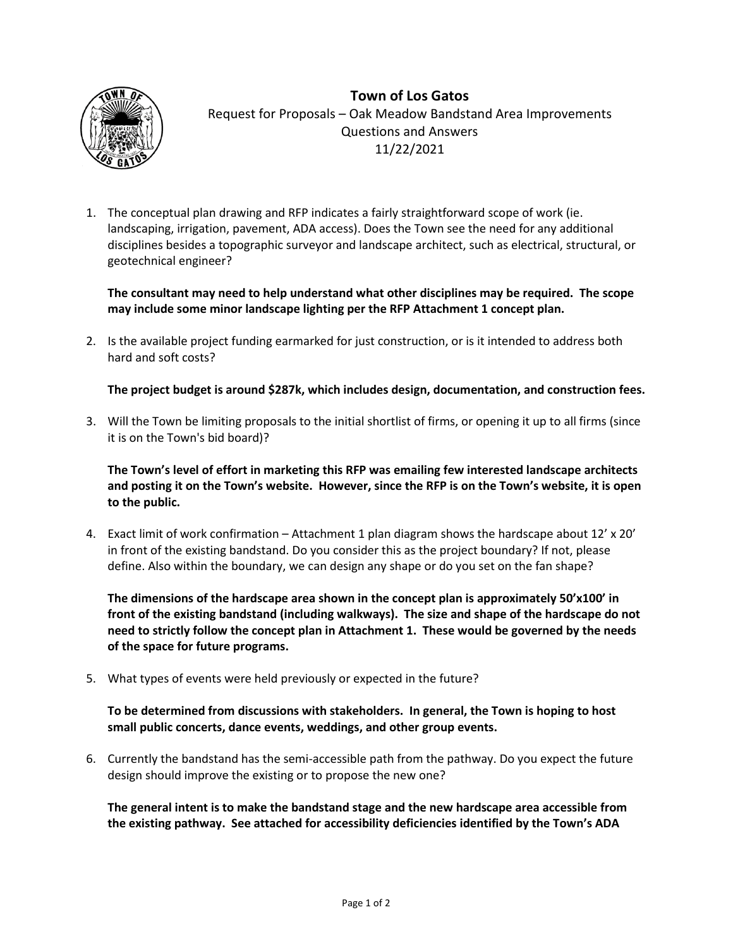

**Town of Los Gatos** Request for Proposals – Oak Meadow Bandstand Area Improvements Questions and Answers 11/22/2021

1. The conceptual plan drawing and RFP indicates a fairly straightforward scope of work (ie. landscaping, irrigation, pavement, ADA access). Does the Town see the need for any additional disciplines besides a topographic surveyor and landscape architect, such as electrical, structural, or geotechnical engineer?

## **The consultant may need to help understand what other disciplines may be required. The scope may include some minor landscape lighting per the RFP Attachment 1 concept plan.**

2. Is the available project funding earmarked for just construction, or is it intended to address both hard and soft costs?

**The project budget is around \$287k, which includes design, documentation, and construction fees.**

3. Will the Town be limiting proposals to the initial shortlist of firms, or opening it up to all firms (since it is on the Town's bid board)?

**The Town's level of effort in marketing this RFP was emailing few interested landscape architects and posting it on the Town's website. However, since the RFP is on the Town's website, it is open to the public.** 

4. Exact limit of work confirmation – Attachment 1 plan diagram shows the hardscape about 12' x 20' in front of the existing bandstand. Do you consider this as the project boundary? If not, please define. Also within the boundary, we can design any shape or do you set on the fan shape?

**The dimensions of the hardscape area shown in the concept plan is approximately 50'x100' in front of the existing bandstand (including walkways). The size and shape of the hardscape do not need to strictly follow the concept plan in Attachment 1. These would be governed by the needs of the space for future programs.**

5. What types of events were held previously or expected in the future?

**To be determined from discussions with stakeholders. In general, the Town is hoping to host small public concerts, dance events, weddings, and other group events.**

6. Currently the bandstand has the semi-accessible path from the pathway. Do you expect the future design should improve the existing or to propose the new one?

**The general intent is to make the bandstand stage and the new hardscape area accessible from the existing pathway. See attached for accessibility deficiencies identified by the Town's ADA**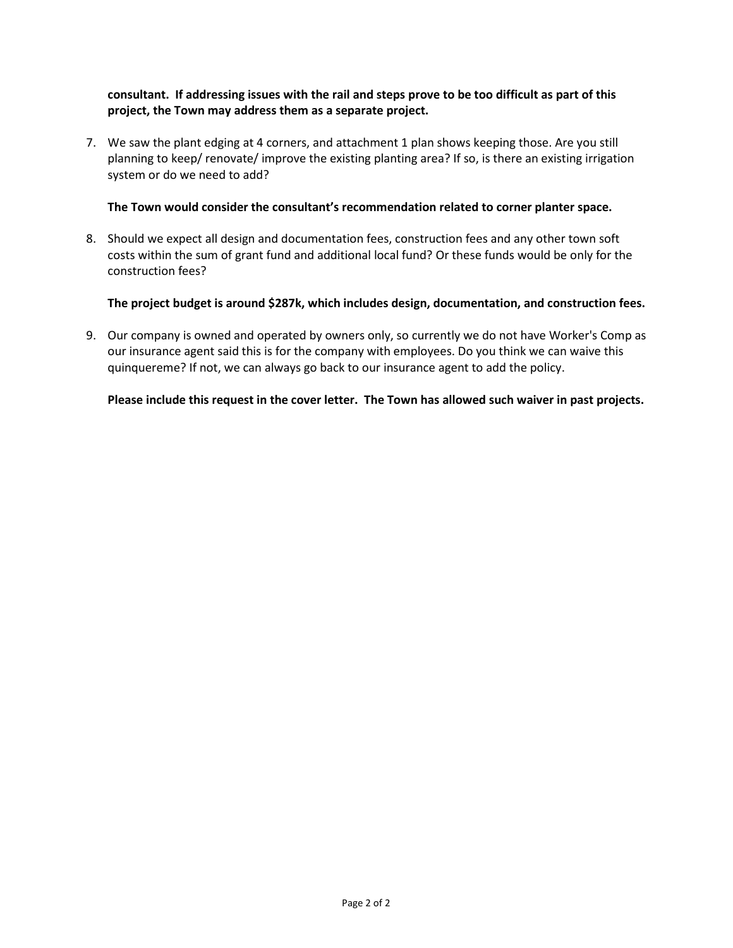## **consultant. If addressing issues with the rail and steps prove to be too difficult as part of this project, the Town may address them as a separate project.**

7. We saw the plant edging at 4 corners, and attachment 1 plan shows keeping those. Are you still planning to keep/ renovate/ improve the existing planting area? If so, is there an existing irrigation system or do we need to add?

#### **The Town would consider the consultant's recommendation related to corner planter space.**

8. Should we expect all design and documentation fees, construction fees and any other town soft costs within the sum of grant fund and additional local fund? Or these funds would be only for the construction fees?

### **The project budget is around \$287k, which includes design, documentation, and construction fees.**

9. Our company is owned and operated by owners only, so currently we do not have Worker's Comp as our insurance agent said this is for the company with employees. Do you think we can waive this quinquereme? If not, we can always go back to our insurance agent to add the policy.

#### **Please include this request in the cover letter. The Town has allowed such waiver in past projects.**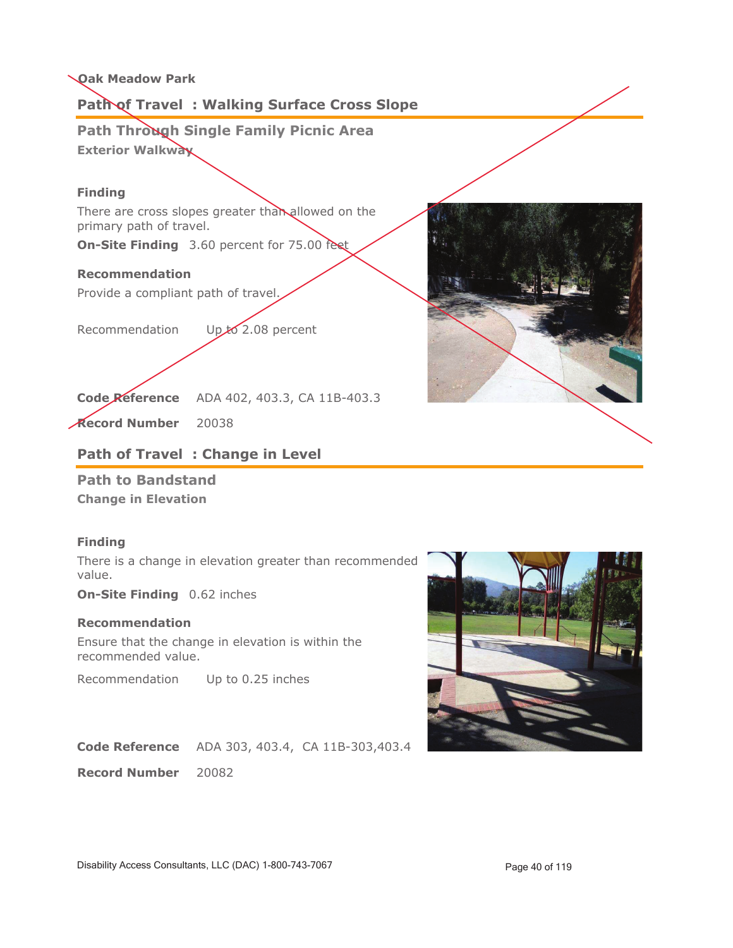# **Path of Travel : Walking Surface Cross Slope**

**Path Through Single Family Picnic Area Exterior Walkway**

## **Finding**

There are cross slopes greater than allowed on the primary path of travel.

**On-Site Finding** 3.60 percent for 75.00 feet

#### **Recommendation**

Provide a compliant path of travel.

Recommendation Up to 2.08 percent



**Record Number** 20038

# **Path of Travel : Change in Level**

**Path to Bandstand Change in Elevation**

### **Finding**

There is a change in elevation greater than recommended value.

**On-Site Finding** 0.62 inches

#### **Recommendation**

Ensure that the change in elevation is within the recommended value.

Recommendation Up to 0.25 inches

**Code Reference** ADA 303, 403.4, CA 11B-303,403.4

**Record Number** 20082



Disability Access Consultants, LLC (DAC) 1-800-743-7067 Page 40 of 119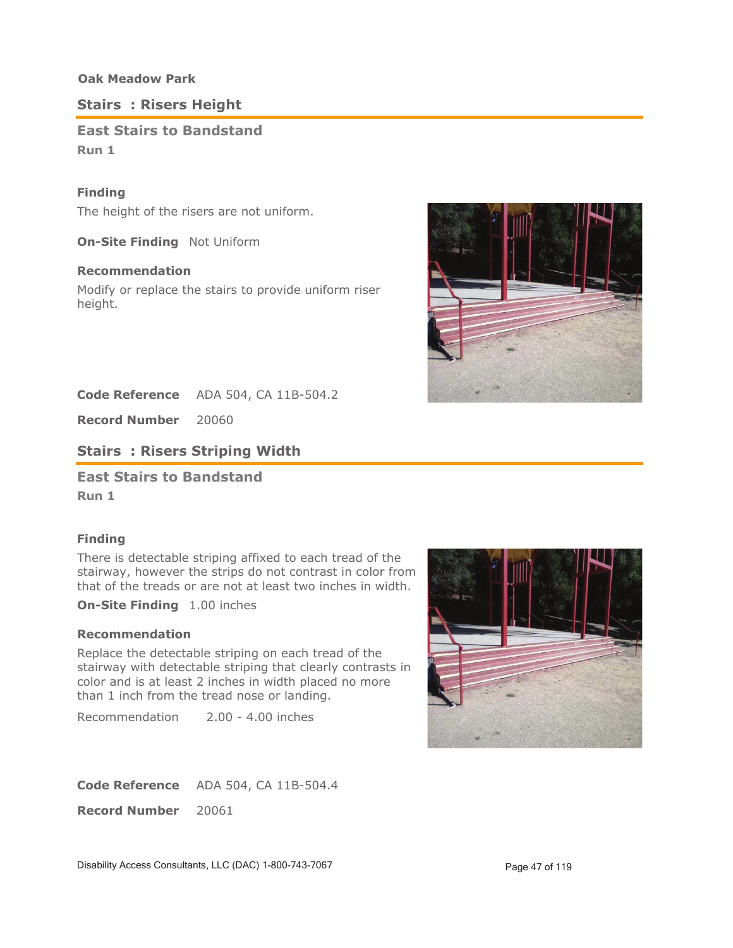# **Stairs : Risers Height**

# **East Stairs to Bandstand Run 1**

## **Finding**

The height of the risers are not uniform.

**On-Site Finding** Not Uniform

## **Recommendation**

Modify or replace the stairs to provide uniform riser height.



Code Reference ADA 504, CA 11B-504.2

**Record Number** 20060

# **Stairs : Risers Striping Width**

**East Stairs to Bandstand**

**Run 1**

## **Finding**

There is detectable striping affixed to each tread of the stairway, however the strips do not contrast in color from that of the treads or are not at least two inches in width.

**On-Site Finding** 1.00 inches

## **Recommendation**

Replace the detectable striping on each tread of the stairway with detectable striping that clearly contrasts in color and is at least 2 inches in width placed no more than 1 inch from the tread nose or landing.

Recommendation 2.00 - 4.00 inches



Code Reference ADA 504, CA 11B-504.4

**Record Number** 20061

Disability Access Consultants, LLC (DAC) 1-800-743-7067 Page 47 of 119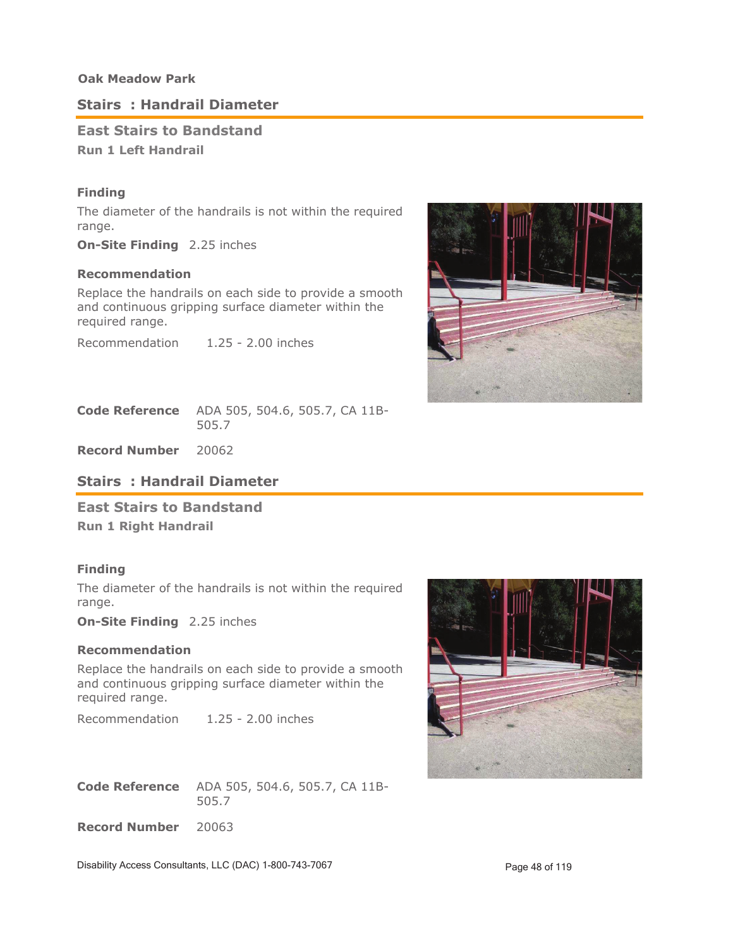## **Stairs : Handrail Diameter**

### **East Stairs to Bandstand Run 1 Left Handrail**

### **Finding**

The diameter of the handrails is not within the required range.

**On-Site Finding** 2.25 inches

#### **Recommendation**

Replace the handrails on each side to provide a smooth and continuous gripping surface diameter within the required range.

Recommendation 1.25 - 2.00 inches



ADA 505, 504.6, 505.7, CA 11B-505.7 **Code Reference**

**Record Number** 20062

## **Stairs : Handrail Diameter**

### **East Stairs to Bandstand**

**Run 1 Right Handrail**

### **Finding**

The diameter of the handrails is not within the required range.

**On-Site Finding** 2.25 inches

## **Recommendation**

Replace the handrails on each side to provide a smooth and continuous gripping surface diameter within the required range.

Recommendation 1.25 - 2.00 inches

ADA 505, 504.6, 505.7, CA 11B-505.7 **Code Reference**

**Record Number** 20063



Disability Access Consultants, LLC (DAC) 1-800-743-7067 Page 48 of 119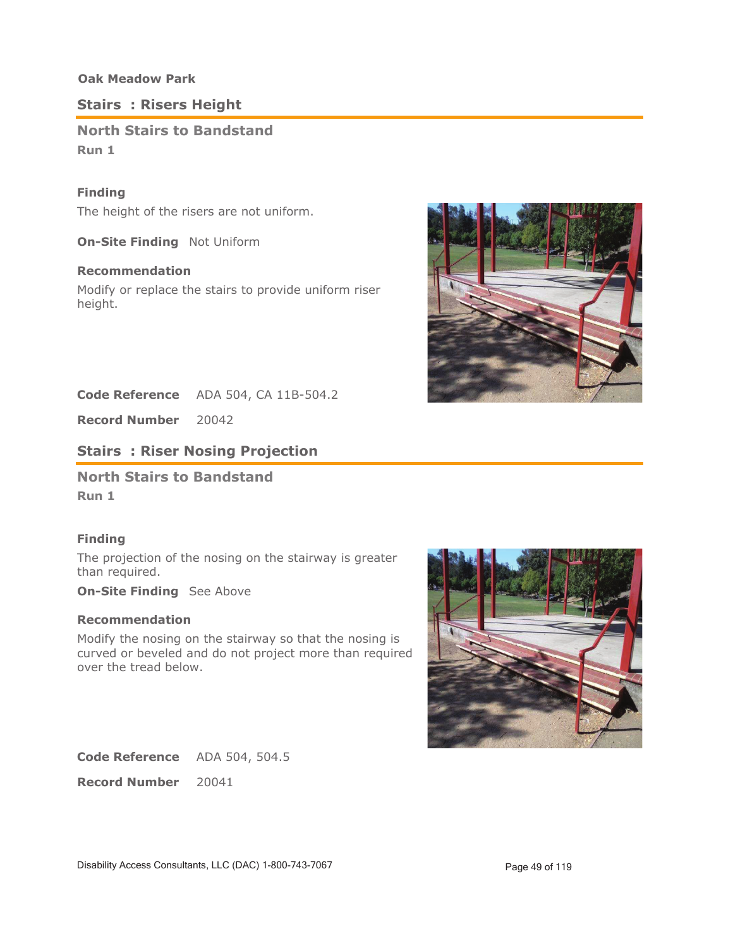# **Stairs : Risers Height**

# **North Stairs to Bandstand Run 1**

## **Finding**

The height of the risers are not uniform.

**On-Site Finding** Not Uniform

## **Recommendation**

Modify or replace the stairs to provide uniform riser height.



Code Reference ADA 504, CA 11B-504.2

**Record Number** 20042

## **Stairs : Riser Nosing Projection**

**North Stairs to Bandstand**

**Run 1**

### **Finding**

The projection of the nosing on the stairway is greater than required.

**On-Site Finding** See Above

## **Recommendation**

Modify the nosing on the stairway so that the nosing is curved or beveled and do not project more than required over the tread below.



Code Reference ADA 504, 504.5

**Record Number** 20041

Disability Access Consultants, LLC (DAC) 1-800-743-7067 Page 49 of 119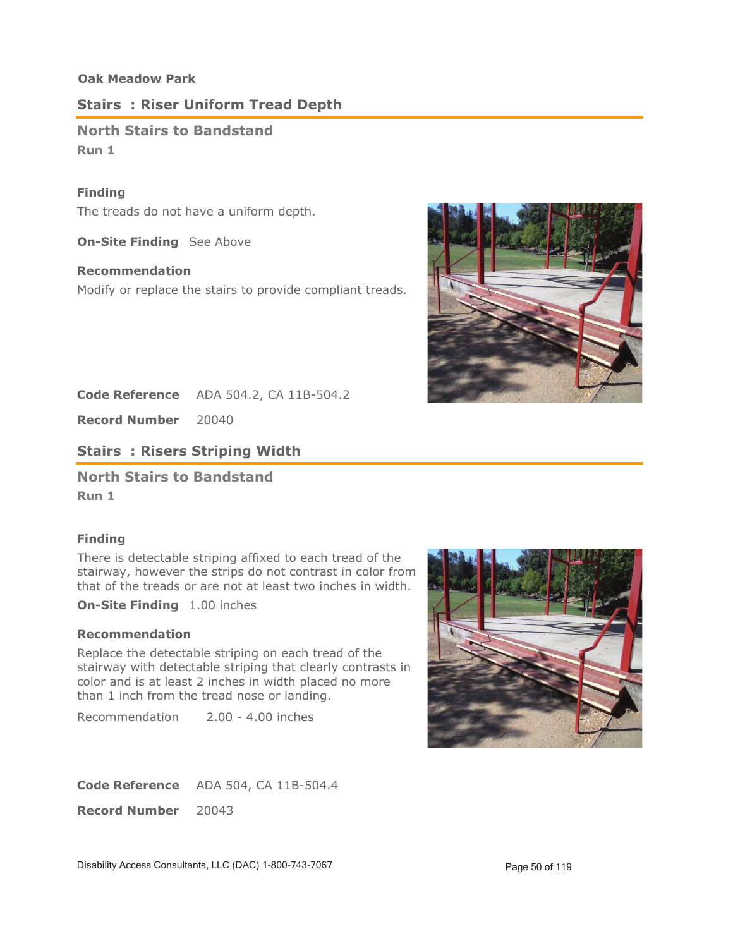## **Stairs : Riser Uniform Tread Depth**

**North Stairs to Bandstand Run 1**

### **Finding**

The treads do not have a uniform depth.

**On-Site Finding** See Above

#### **Recommendation**

Modify or replace the stairs to provide compliant treads.



**Code Reference** ADA 504.2, CA 11B-504.2

**Record Number** 20040

**Stairs : Risers Striping Width**

**North Stairs to Bandstand**

**Run 1**

### **Finding**

There is detectable striping affixed to each tread of the stairway, however the strips do not contrast in color from that of the treads or are not at least two inches in width.

**On-Site Finding** 1.00 inches

## **Recommendation**

Replace the detectable striping on each tread of the stairway with detectable striping that clearly contrasts in color and is at least 2 inches in width placed no more than 1 inch from the tread nose or landing.

Recommendation 2.00 - 4.00 inches



Code Reference ADA 504, CA 11B-504.4

**Record Number** 20043

Disability Access Consultants, LLC (DAC) 1-800-743-7067 Page 50 of 119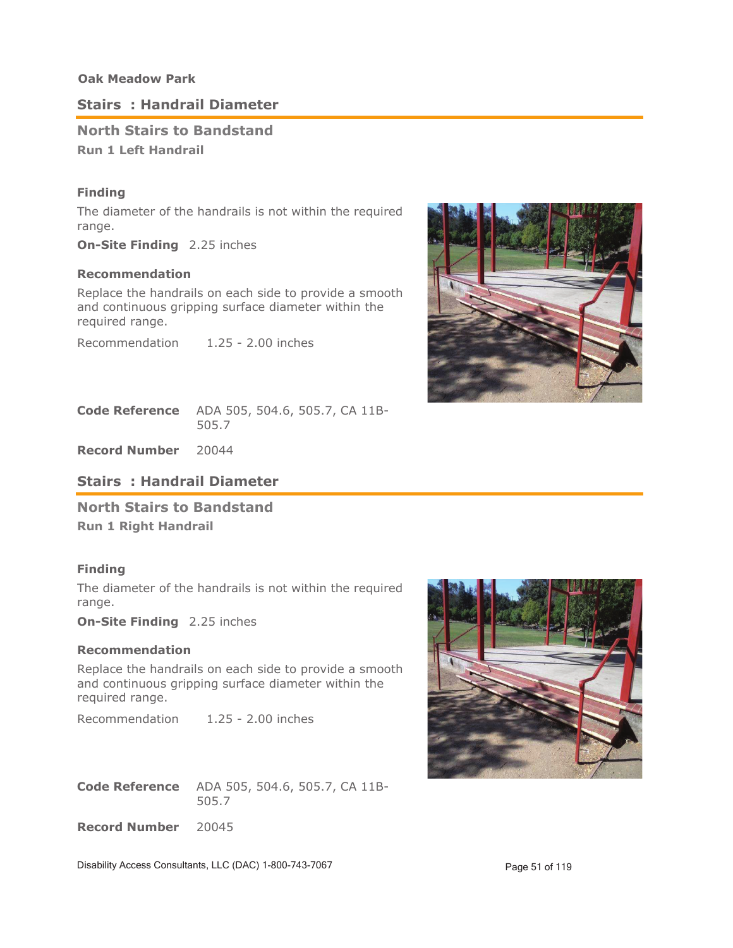## **Stairs : Handrail Diameter**

## **North Stairs to Bandstand Run 1 Left Handrail**

### **Finding**

The diameter of the handrails is not within the required range.

**On-Site Finding** 2.25 inches

#### **Recommendation**

Replace the handrails on each side to provide a smooth and continuous gripping surface diameter within the required range.

Recommendation 1.25 - 2.00 inches



ADA 505, 504.6, 505.7, CA 11B-505.7 **Code Reference**

**Record Number** 20044

## **Stairs : Handrail Diameter**

**North Stairs to Bandstand Run 1 Right Handrail**

#### **Finding**

The diameter of the handrails is not within the required range.

**On-Site Finding** 2.25 inches

#### **Recommendation**

Replace the handrails on each side to provide a smooth and continuous gripping surface diameter within the required range.

Recommendation 1.25 - 2.00 inches

ADA 505, 504.6, 505.7, CA 11B-505.7 **Code Reference**

**Record Number** 20045



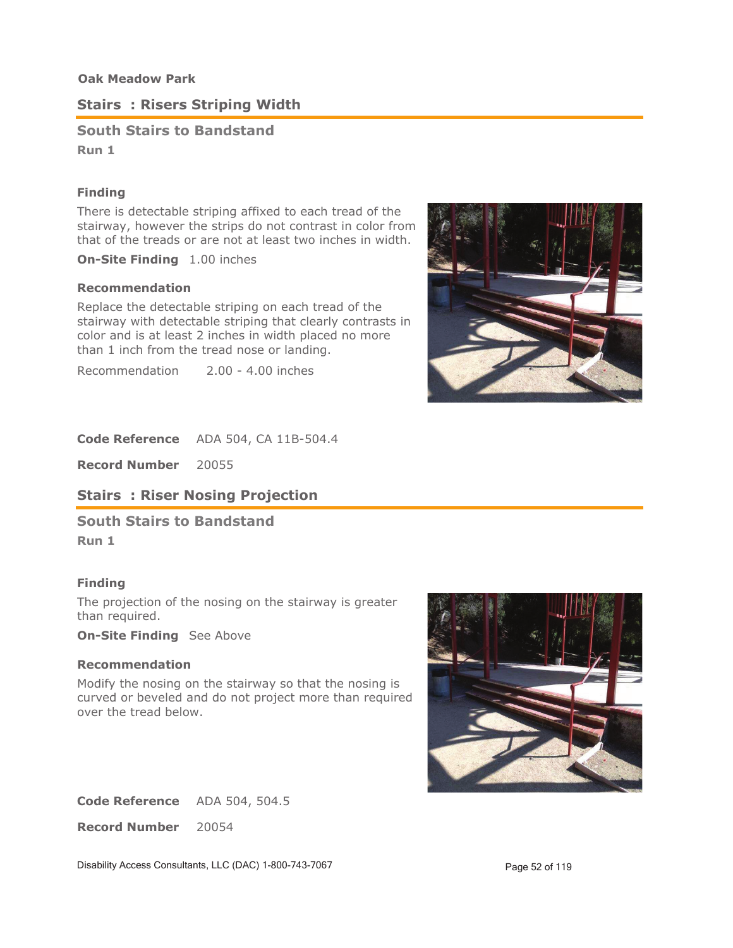# **Stairs : Risers Striping Width**

**South Stairs to Bandstand Run 1**

## **Finding**

There is detectable striping affixed to each tread of the stairway, however the strips do not contrast in color from that of the treads or are not at least two inches in width.

**On-Site Finding** 1.00 inches

#### **Recommendation**

Replace the detectable striping on each tread of the stairway with detectable striping that clearly contrasts in color and is at least 2 inches in width placed no more than 1 inch from the tread nose or landing.

Recommendation 2.00 - 4.00 inches



Code Reference ADA 504, CA 11B-504.4

**Record Number** 20055

## **Stairs : Riser Nosing Projection**

**South Stairs to Bandstand**

**Run 1**

### **Finding**

The projection of the nosing on the stairway is greater than required.

**On-Site Finding** See Above

#### **Recommendation**

Modify the nosing on the stairway so that the nosing is curved or beveled and do not project more than required over the tread below.



Code Reference ADA 504, 504.5

**Record Number** 20054

Disability Access Consultants, LLC (DAC) 1-800-743-7067 Page 52 of 119